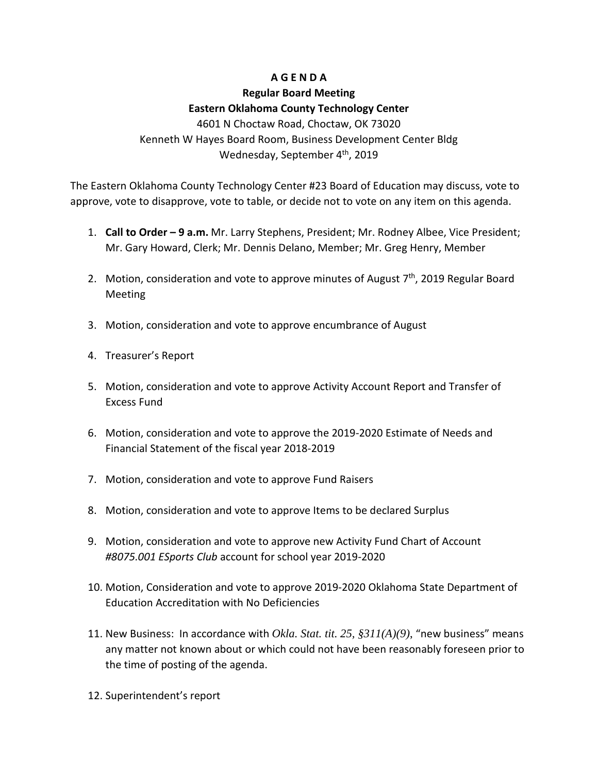## **A G E N D A**

## **Regular Board Meeting Eastern Oklahoma County Technology Center**

4601 N Choctaw Road, Choctaw, OK 73020 Kenneth W Hayes Board Room, Business Development Center Bldg Wednesday, September 4<sup>th</sup>, 2019

The Eastern Oklahoma County Technology Center #23 Board of Education may discuss, vote to approve, vote to disapprove, vote to table, or decide not to vote on any item on this agenda.

- 1. **Call to Order – 9 a.m.** Mr. Larry Stephens, President; Mr. Rodney Albee, Vice President; Mr. Gary Howard, Clerk; Mr. Dennis Delano, Member; Mr. Greg Henry, Member
- 2. Motion, consideration and vote to approve minutes of August  $7<sup>th</sup>$ , 2019 Regular Board Meeting
- 3. Motion, consideration and vote to approve encumbrance of August
- 4. Treasurer's Report
- 5. Motion, consideration and vote to approve Activity Account Report and Transfer of Excess Fund
- 6. Motion, consideration and vote to approve the 2019-2020 Estimate of Needs and Financial Statement of the fiscal year 2018-2019
- 7. Motion, consideration and vote to approve Fund Raisers
- 8. Motion, consideration and vote to approve Items to be declared Surplus
- 9. Motion, consideration and vote to approve new Activity Fund Chart of Account *#8075.001 ESports Club* account for school year 2019-2020
- 10. Motion, Consideration and vote to approve 2019-2020 Oklahoma State Department of Education Accreditation with No Deficiencies
- 11. New Business: In accordance with *Okla. Stat. tit. 25, §311(A)(9)*, "new business" means any matter not known about or which could not have been reasonably foreseen prior to the time of posting of the agenda.
- 12. Superintendent's report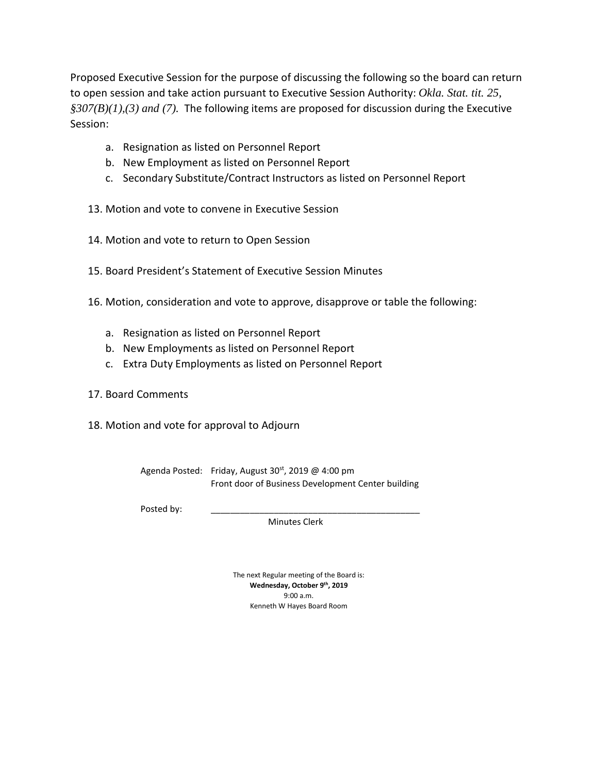Proposed Executive Session for the purpose of discussing the following so the board can return to open session and take action pursuant to Executive Session Authority: *Okla. Stat. tit. 25, §307(B)(1),(3) and (7).* The following items are proposed for discussion during the Executive Session:

- a. Resignation as listed on Personnel Report
- b. New Employment as listed on Personnel Report
- c. Secondary Substitute/Contract Instructors as listed on Personnel Report
- 13. Motion and vote to convene in Executive Session
- 14. Motion and vote to return to Open Session
- 15. Board President's Statement of Executive Session Minutes
- 16. Motion, consideration and vote to approve, disapprove or table the following:
	- a. Resignation as listed on Personnel Report
	- b. New Employments as listed on Personnel Report
	- c. Extra Duty Employments as listed on Personnel Report
- 17. Board Comments
- 18. Motion and vote for approval to Adjourn

Agenda Posted: Friday, August  $30^{st}$ , 2019 @ 4:00 pm Front door of Business Development Center building

Posted by:

Minutes Clerk

The next Regular meeting of the Board is: **Wednesday, October 9th, 2019** 9:00 a.m. Kenneth W Hayes Board Room